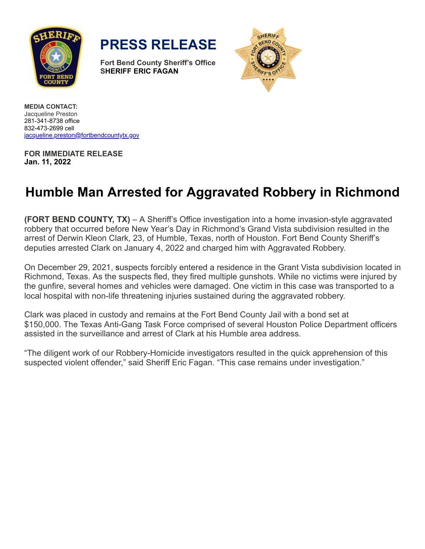

**PRESS RELEASE**

**Fort Bend County Sheriff's Office SHERIFF ERIC FAGAN**



**MEDIA CONTACT:** Jacqueline Preston 281-341-8738 office 832-473-2699 cell [jacqueline.preston@fortbendcountytx.gov](mailto:jacqueline.preston@fortbendcountytx.gov)

**FOR IMMEDIATE RELEASE Jan. 11, 2022**

## **Humble Man Arrested for Aggravated Robbery in Richmond**

**(FORT BEND COUNTY, TX)** – A Sheriff's Office investigation into a home invasion-style aggravated robbery that occurred before New Year's Day in Richmond's Grand Vista subdivision resulted in the arrest of Derwin Kleon Clark, 23, of Humble, Texas, north of Houston. Fort Bend County Sheriff's deputies arrested Clark on January 4, 2022 and charged him with Aggravated Robbery.

On December 29, 2021, suspects forcibly entered a residence in the Grant Vista subdivision located in Richmond, Texas. As the suspects fled, they fired multiple gunshots. While no victims were injured by the gunfire, several homes and vehicles were damaged. One victim in this case was transported to a local hospital with non-life threatening injuries sustained during the aggravated robbery.

Clark was placed in custody and remains at the Fort Bend County Jail with a bond set at \$150,000. The Texas Anti-Gang Task Force comprised of several Houston Police Department officers assisted in the surveillance and arrest of Clark at his Humble area address.

"The diligent work of our Robbery-Homicide investigators resulted in the quick apprehension of this suspected violent offender," said Sheriff Eric Fagan. "This case remains under investigation."